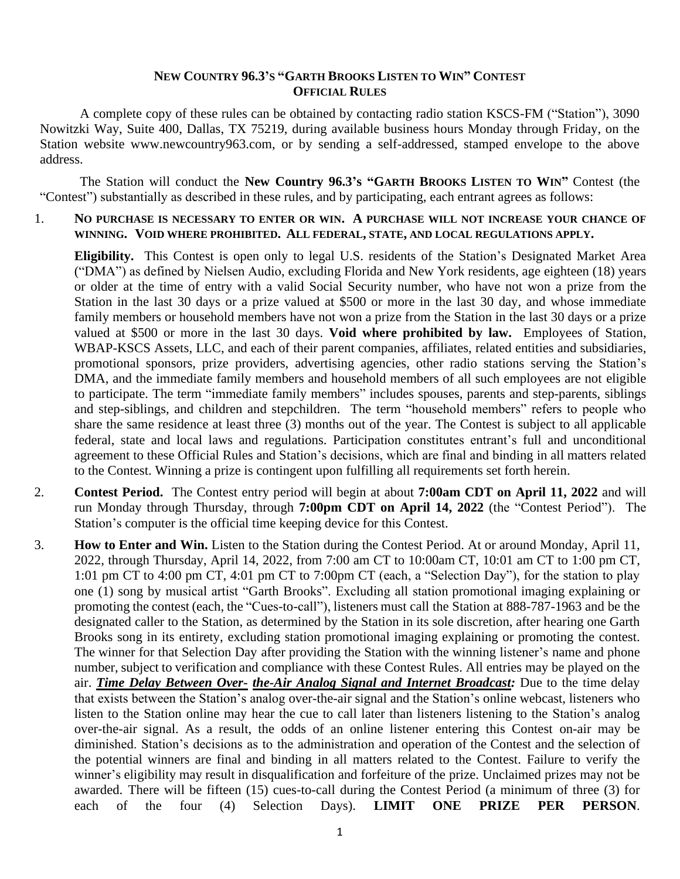## **NEW COUNTRY 96.3'S "GARTH BROOKS LISTEN TO WIN" CONTEST OFFICIAL RULES**

A complete copy of these rules can be obtained by contacting radio station KSCS-FM ("Station"), 3090 Nowitzki Way, Suite 400, Dallas, TX 75219, during available business hours Monday through Friday, on the Station website www.newcountry963.com, or by sending a self-addressed, stamped envelope to the above address.

The Station will conduct the **New Country 96.3's "GARTH BROOKS LISTEN TO WIN"** Contest (the "Contest") substantially as described in these rules, and by participating, each entrant agrees as follows:

## 1. **NO PURCHASE IS NECESSARY TO ENTER OR WIN. A PURCHASE WILL NOT INCREASE YOUR CHANCE OF WINNING. VOID WHERE PROHIBITED. ALL FEDERAL, STATE, AND LOCAL REGULATIONS APPLY.**

**Eligibility.** This Contest is open only to legal U.S. residents of the Station's Designated Market Area ("DMA") as defined by Nielsen Audio, excluding Florida and New York residents, age eighteen (18) years or older at the time of entry with a valid Social Security number, who have not won a prize from the Station in the last 30 days or a prize valued at \$500 or more in the last 30 day, and whose immediate family members or household members have not won a prize from the Station in the last 30 days or a prize valued at \$500 or more in the last 30 days. **Void where prohibited by law.** Employees of Station, WBAP-KSCS Assets, LLC, and each of their parent companies, affiliates, related entities and subsidiaries, promotional sponsors, prize providers, advertising agencies, other radio stations serving the Station's DMA, and the immediate family members and household members of all such employees are not eligible to participate. The term "immediate family members" includes spouses, parents and step-parents, siblings and step-siblings, and children and stepchildren. The term "household members" refers to people who share the same residence at least three (3) months out of the year. The Contest is subject to all applicable federal, state and local laws and regulations. Participation constitutes entrant's full and unconditional agreement to these Official Rules and Station's decisions, which are final and binding in all matters related to the Contest. Winning a prize is contingent upon fulfilling all requirements set forth herein.

- 2. **Contest Period.** The Contest entry period will begin at about **7:00am CDT on April 11, 2022** and will run Monday through Thursday, through **7:00pm CDT on April 14, 2022** (the "Contest Period"). The Station's computer is the official time keeping device for this Contest.
- 3. **How to Enter and Win.** Listen to the Station during the Contest Period. At or around Monday, April 11, 2022, through Thursday, April 14, 2022, from 7:00 am CT to 10:00am CT, 10:01 am CT to 1:00 pm CT, 1:01 pm CT to 4:00 pm CT, 4:01 pm CT to 7:00pm CT (each, a "Selection Day"), for the station to play one (1) song by musical artist "Garth Brooks". Excluding all station promotional imaging explaining or promoting the contest (each, the "Cues-to-call"), listeners must call the Station at 888-787-1963 and be the designated caller to the Station, as determined by the Station in its sole discretion, after hearing one Garth Brooks song in its entirety, excluding station promotional imaging explaining or promoting the contest. The winner for that Selection Day after providing the Station with the winning listener's name and phone number, subject to verification and compliance with these Contest Rules. All entries may be played on the air. *Time Delay Between Over- the-Air Analog Signal and Internet Broadcast:* Due to the time delay that exists between the Station's analog over-the-air signal and the Station's online webcast, listeners who listen to the Station online may hear the cue to call later than listeners listening to the Station's analog over-the-air signal. As a result, the odds of an online listener entering this Contest on-air may be diminished. Station's decisions as to the administration and operation of the Contest and the selection of the potential winners are final and binding in all matters related to the Contest. Failure to verify the winner's eligibility may result in disqualification and forfeiture of the prize. Unclaimed prizes may not be awarded. There will be fifteen (15) cues-to-call during the Contest Period (a minimum of three (3) for each of the four (4) Selection Days). **LIMIT ONE PRIZE PER PERSON**.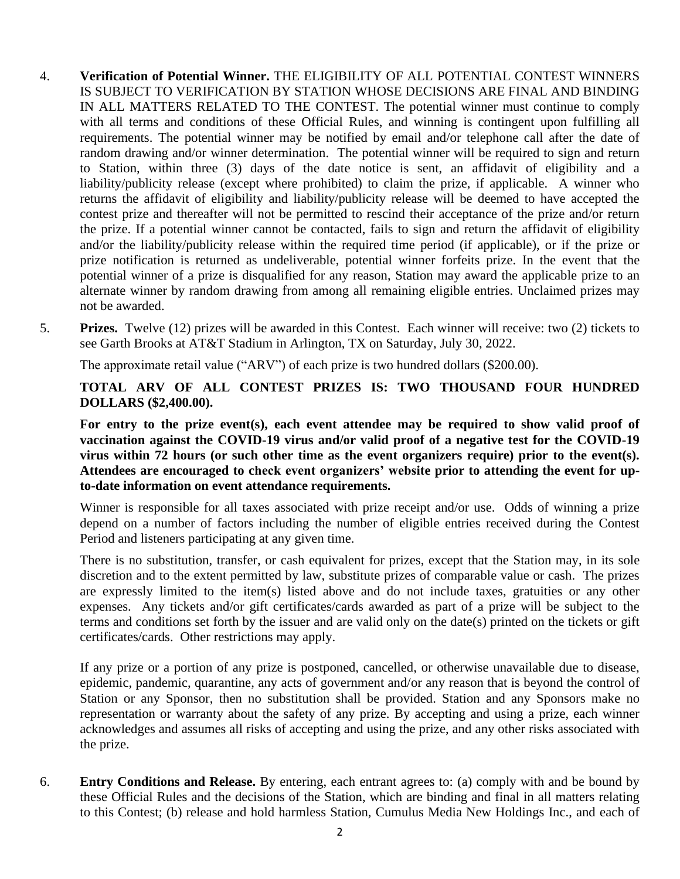- 4. **Verification of Potential Winner.** THE ELIGIBILITY OF ALL POTENTIAL CONTEST WINNERS IS SUBJECT TO VERIFICATION BY STATION WHOSE DECISIONS ARE FINAL AND BINDING IN ALL MATTERS RELATED TO THE CONTEST. The potential winner must continue to comply with all terms and conditions of these Official Rules, and winning is contingent upon fulfilling all requirements. The potential winner may be notified by email and/or telephone call after the date of random drawing and/or winner determination. The potential winner will be required to sign and return to Station, within three (3) days of the date notice is sent, an affidavit of eligibility and a liability/publicity release (except where prohibited) to claim the prize, if applicable. A winner who returns the affidavit of eligibility and liability/publicity release will be deemed to have accepted the contest prize and thereafter will not be permitted to rescind their acceptance of the prize and/or return the prize. If a potential winner cannot be contacted, fails to sign and return the affidavit of eligibility and/or the liability/publicity release within the required time period (if applicable), or if the prize or prize notification is returned as undeliverable, potential winner forfeits prize. In the event that the potential winner of a prize is disqualified for any reason, Station may award the applicable prize to an alternate winner by random drawing from among all remaining eligible entries. Unclaimed prizes may not be awarded.
- 5. **Prizes.** Twelve (12) prizes will be awarded in this Contest. Each winner will receive: two (2) tickets to see Garth Brooks at AT&T Stadium in Arlington, TX on Saturday, July 30, 2022.

The approximate retail value ("ARV") of each prize is two hundred dollars (\$200.00).

**TOTAL ARV OF ALL CONTEST PRIZES IS: TWO THOUSAND FOUR HUNDRED DOLLARS (\$2,400.00).**

**For entry to the prize event(s), each event attendee may be required to show valid proof of vaccination against the COVID-19 virus and/or valid proof of a negative test for the COVID-19 virus within 72 hours (or such other time as the event organizers require) prior to the event(s). Attendees are encouraged to check event organizers' website prior to attending the event for upto-date information on event attendance requirements.**

Winner is responsible for all taxes associated with prize receipt and/or use. Odds of winning a prize depend on a number of factors including the number of eligible entries received during the Contest Period and listeners participating at any given time.

There is no substitution, transfer, or cash equivalent for prizes, except that the Station may, in its sole discretion and to the extent permitted by law, substitute prizes of comparable value or cash. The prizes are expressly limited to the item(s) listed above and do not include taxes, gratuities or any other expenses. Any tickets and/or gift certificates/cards awarded as part of a prize will be subject to the terms and conditions set forth by the issuer and are valid only on the date(s) printed on the tickets or gift certificates/cards. Other restrictions may apply.

If any prize or a portion of any prize is postponed, cancelled, or otherwise unavailable due to disease, epidemic, pandemic, quarantine, any acts of government and/or any reason that is beyond the control of Station or any Sponsor, then no substitution shall be provided. Station and any Sponsors make no representation or warranty about the safety of any prize. By accepting and using a prize, each winner acknowledges and assumes all risks of accepting and using the prize, and any other risks associated with the prize.

6. **Entry Conditions and Release.** By entering, each entrant agrees to: (a) comply with and be bound by these Official Rules and the decisions of the Station, which are binding and final in all matters relating to this Contest; (b) release and hold harmless Station, Cumulus Media New Holdings Inc., and each of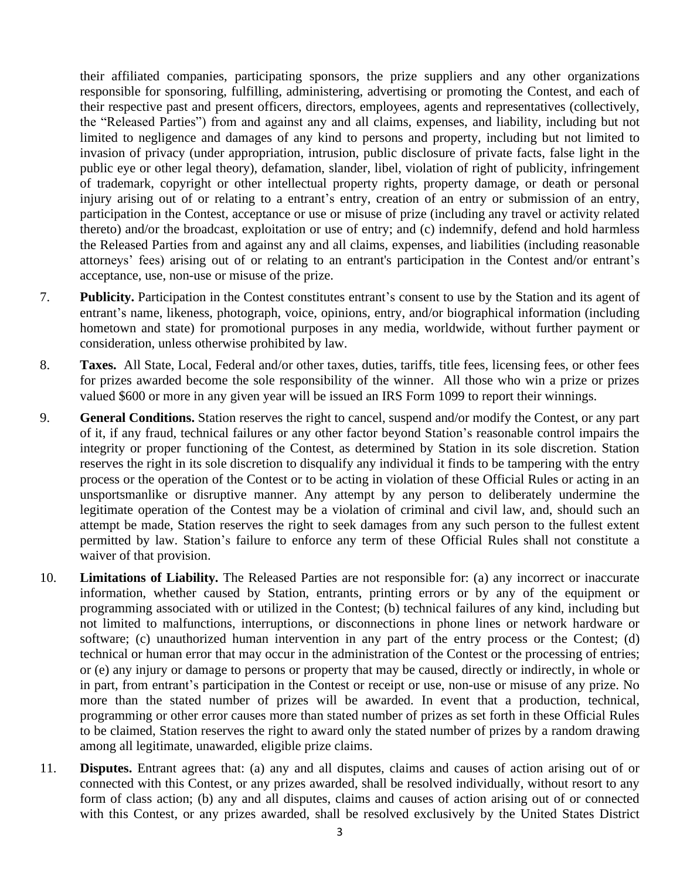their affiliated companies, participating sponsors, the prize suppliers and any other organizations responsible for sponsoring, fulfilling, administering, advertising or promoting the Contest, and each of their respective past and present officers, directors, employees, agents and representatives (collectively, the "Released Parties") from and against any and all claims, expenses, and liability, including but not limited to negligence and damages of any kind to persons and property, including but not limited to invasion of privacy (under appropriation, intrusion, public disclosure of private facts, false light in the public eye or other legal theory), defamation, slander, libel, violation of right of publicity, infringement of trademark, copyright or other intellectual property rights, property damage, or death or personal injury arising out of or relating to a entrant's entry, creation of an entry or submission of an entry, participation in the Contest, acceptance or use or misuse of prize (including any travel or activity related thereto) and/or the broadcast, exploitation or use of entry; and (c) indemnify, defend and hold harmless the Released Parties from and against any and all claims, expenses, and liabilities (including reasonable attorneys' fees) arising out of or relating to an entrant's participation in the Contest and/or entrant's acceptance, use, non-use or misuse of the prize.

- 7. **Publicity.** Participation in the Contest constitutes entrant's consent to use by the Station and its agent of entrant's name, likeness, photograph, voice, opinions, entry, and/or biographical information (including hometown and state) for promotional purposes in any media, worldwide, without further payment or consideration, unless otherwise prohibited by law.
- 8. **Taxes.** All State, Local, Federal and/or other taxes, duties, tariffs, title fees, licensing fees, or other fees for prizes awarded become the sole responsibility of the winner. All those who win a prize or prizes valued \$600 or more in any given year will be issued an IRS Form 1099 to report their winnings.
- 9. **General Conditions.** Station reserves the right to cancel, suspend and/or modify the Contest, or any part of it, if any fraud, technical failures or any other factor beyond Station's reasonable control impairs the integrity or proper functioning of the Contest, as determined by Station in its sole discretion. Station reserves the right in its sole discretion to disqualify any individual it finds to be tampering with the entry process or the operation of the Contest or to be acting in violation of these Official Rules or acting in an unsportsmanlike or disruptive manner. Any attempt by any person to deliberately undermine the legitimate operation of the Contest may be a violation of criminal and civil law, and, should such an attempt be made, Station reserves the right to seek damages from any such person to the fullest extent permitted by law. Station's failure to enforce any term of these Official Rules shall not constitute a waiver of that provision.
- 10. **Limitations of Liability.** The Released Parties are not responsible for: (a) any incorrect or inaccurate information, whether caused by Station, entrants, printing errors or by any of the equipment or programming associated with or utilized in the Contest; (b) technical failures of any kind, including but not limited to malfunctions, interruptions, or disconnections in phone lines or network hardware or software; (c) unauthorized human intervention in any part of the entry process or the Contest; (d) technical or human error that may occur in the administration of the Contest or the processing of entries; or (e) any injury or damage to persons or property that may be caused, directly or indirectly, in whole or in part, from entrant's participation in the Contest or receipt or use, non-use or misuse of any prize. No more than the stated number of prizes will be awarded. In event that a production, technical, programming or other error causes more than stated number of prizes as set forth in these Official Rules to be claimed, Station reserves the right to award only the stated number of prizes by a random drawing among all legitimate, unawarded, eligible prize claims.
- 11. **Disputes.** Entrant agrees that: (a) any and all disputes, claims and causes of action arising out of or connected with this Contest, or any prizes awarded, shall be resolved individually, without resort to any form of class action; (b) any and all disputes, claims and causes of action arising out of or connected with this Contest, or any prizes awarded, shall be resolved exclusively by the United States District